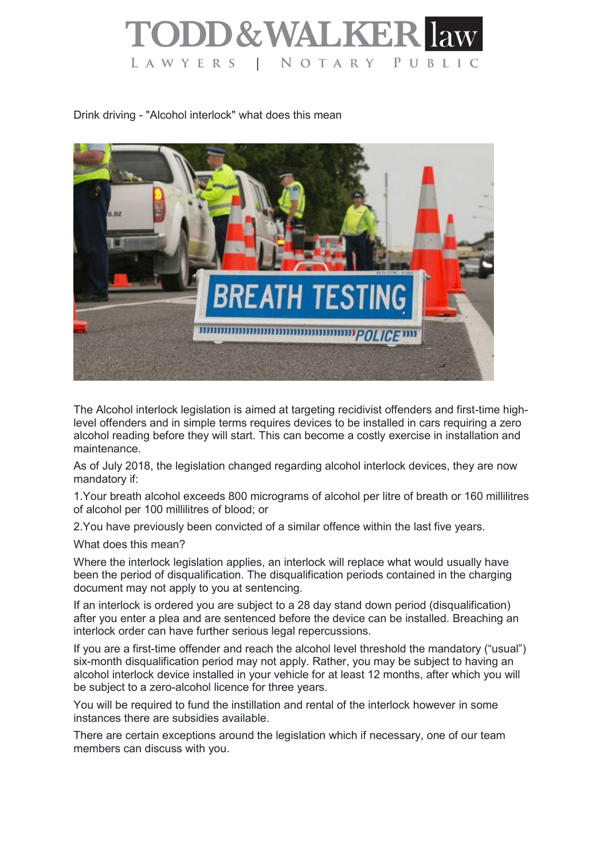

Drink driving - "Alcohol interlock" what does this mean



The Alcohol interlock legislation is aimed at targeting recidivist offenders and first-time highlevel offenders and in simple terms requires devices to be installed in cars requiring a zero alcohol reading before they will start. This can become a costly exercise in installation and maintenance.

As of July 2018, the legislation changed regarding alcohol interlock devices, they are now mandatory if:

1.Your breath alcohol exceeds 800 micrograms of alcohol per litre of breath or 160 millilitres of alcohol per 100 millilitres of blood; or

2.You have previously been convicted of a similar offence within the last five years.

What does this mean?

Where the interlock legislation applies, an interlock will replace what would usually have been the period of disqualification. The disqualification periods contained in the charging document may not apply to you at sentencing.

If an interlock is ordered you are subject to a 28 day stand down period (disqualification) after you enter a plea and are sentenced before the device can be installed. Breaching an interlock order can have further serious legal repercussions.

If you are a first-time offender and reach the alcohol level threshold the mandatory ("usual") six-month disqualification period may not apply. Rather, you may be subject to having an alcohol interlock device installed in your vehicle for at least 12 months, after which you will be subject to a zero-alcohol licence for three years.

You will be required to fund the instillation and rental of the interlock however in some instances there are subsidies available.

There are certain exceptions around the legislation which if necessary, one of our team members can discuss with you.